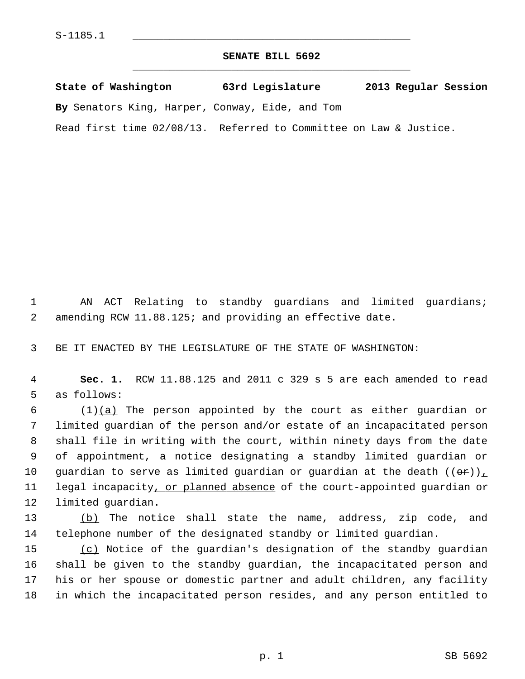## **SENATE BILL 5692** \_\_\_\_\_\_\_\_\_\_\_\_\_\_\_\_\_\_\_\_\_\_\_\_\_\_\_\_\_\_\_\_\_\_\_\_\_\_\_\_\_\_\_\_\_

| State of Washington |                                                        |  | 63rd Legislature |  |  |  | 2013 Regular Session |  |  |
|---------------------|--------------------------------------------------------|--|------------------|--|--|--|----------------------|--|--|
|                     | <b>By</b> Senators King, Harper, Conway, Eide, and Tom |  |                  |  |  |  |                      |  |  |

Read first time 02/08/13. Referred to Committee on Law & Justice.

 1 AN ACT Relating to standby guardians and limited guardians; 2 amending RCW 11.88.125; and providing an effective date.

3 BE IT ENACTED BY THE LEGISLATURE OF THE STATE OF WASHINGTON:

 4 **Sec. 1.** RCW 11.88.125 and 2011 c 329 s 5 are each amended to read 5 as follows:

6  $(1)(a)$  The person appointed by the court as either guardian or 7 limited guardian of the person and/or estate of an incapacitated person 8 shall file in writing with the court, within ninety days from the date 9 of appointment, a notice designating a standby limited guardian or 10 guardian to serve as limited guardian or guardian at the death  $((\theta \cdot \hat{r}))_L$ 11 legal incapacity, or planned absence of the court-appointed guardian or 12 limited guardian.

13 (b) The notice shall state the name, address, zip code, and 14 telephone number of the designated standby or limited guardian.

15 (c) Notice of the guardian's designation of the standby guardian 16 shall be given to the standby guardian, the incapacitated person and 17 his or her spouse or domestic partner and adult children, any facility 18 in which the incapacitated person resides, and any person entitled to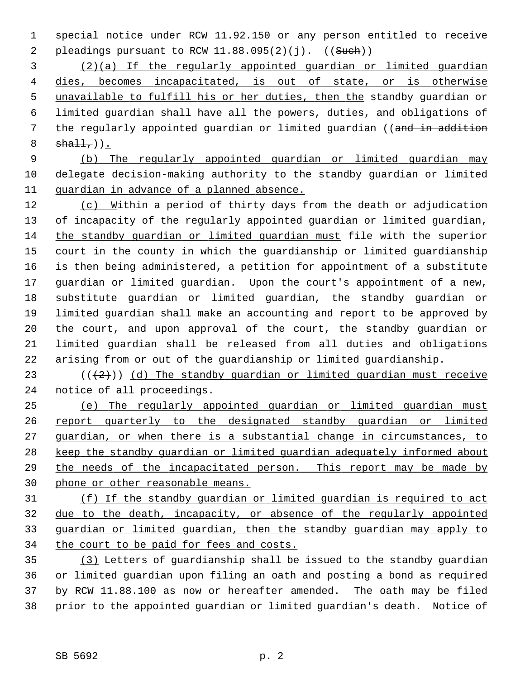1 special notice under RCW 11.92.150 or any person entitled to receive 2 pleadings pursuant to RCW  $11.88.095(2)(j)$ .  $((Such)$ )

 (2)(a) If the regularly appointed guardian or limited guardian dies, becomes incapacitated, is out of state, or is otherwise unavailable to fulfill his or her duties, then the standby guardian or 6 limited guardian shall have all the powers, duties, and obligations of 7 the regularly appointed guardian or limited guardian ((and in addition  $sha11$ ,  $)$ ).

 9 (b) The regularly appointed guardian or limited guardian may 10 delegate decision-making authority to the standby guardian or limited 11 guardian in advance of a planned absence.

12 (c) Within a period of thirty days from the death or adjudication 13 of incapacity of the regularly appointed guardian or limited guardian, 14 the standby guardian or limited guardian must file with the superior 15 court in the county in which the guardianship or limited guardianship 16 is then being administered, a petition for appointment of a substitute 17 guardian or limited guardian. Upon the court's appointment of a new, 18 substitute guardian or limited guardian, the standby guardian or 19 limited guardian shall make an accounting and report to be approved by 20 the court, and upon approval of the court, the standby guardian or 21 limited guardian shall be released from all duties and obligations 22 arising from or out of the guardianship or limited guardianship.

23 ( $(\frac{1}{2})$ ) (d) The standby quardian or limited quardian must receive 24 notice of all proceedings.

 (e) The regularly appointed guardian or limited guardian must report quarterly to the designated standby guardian or limited guardian, or when there is a substantial change in circumstances, to keep the standby guardian or limited guardian adequately informed about the needs of the incapacitated person. This report may be made by phone or other reasonable means.

 (f) If the standby guardian or limited guardian is required to act due to the death, incapacity, or absence of the regularly appointed guardian or limited guardian, then the standby guardian may apply to 34 the court to be paid for fees and costs.

35 (3) Letters of guardianship shall be issued to the standby guardian 36 or limited guardian upon filing an oath and posting a bond as required 37 by RCW 11.88.100 as now or hereafter amended. The oath may be filed 38 prior to the appointed guardian or limited guardian's death. Notice of